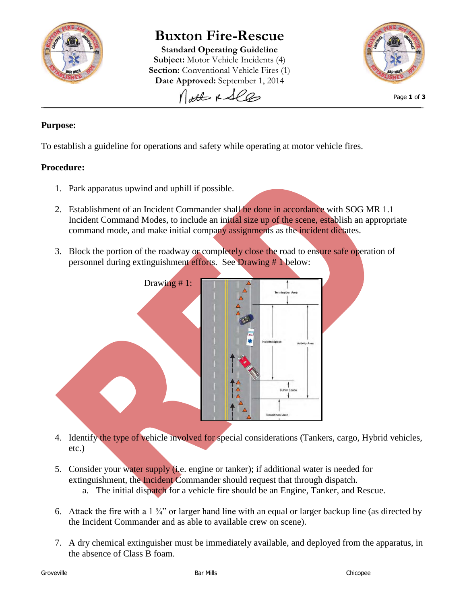

# **Buxton Fire-Rescue**

**Standard Operating Guideline Subject:** Motor Vehicle Incidents (4) **Section:** Conventional Vehicle Fires (1) Date Approved: September 1, 2014



Page **1** of **3**

## **Purpose:**

To establish a guideline for operations and safety while operating at motor vehicle fires.

#### **Procedure:**

- 1. Park apparatus upwind and uphill if possible.
- 2. Establishment of an Incident Commander shall be done in accordance with SOG MR 1.1 Incident Command Modes, to include an initial size up of the scene, establish an appropriate command mode, and make initial company assignments as the incident dictates.
- 3. Block the portion of the roadway or completely close the road to ensure safe operation of personnel during extinguishment efforts. See Drawing # 1 below:



- 4. Identify the type of vehicle involved for special considerations (Tankers, cargo, Hybrid vehicles, etc.)
- 5. Consider your water supply (i.e. engine or tanker); if additional water is needed for extinguishment, the *Incident* Commander should request that through dispatch.
	- a. The initial dispatch for a vehicle fire should be an Engine, Tanker, and Rescue.
- 6. Attack the fire with a  $1 \frac{3}{4}$ " or larger hand line with an equal or larger backup line (as directed by the Incident Commander and as able to available crew on scene).
- 7. A dry chemical extinguisher must be immediately available, and deployed from the apparatus, in the absence of Class B foam.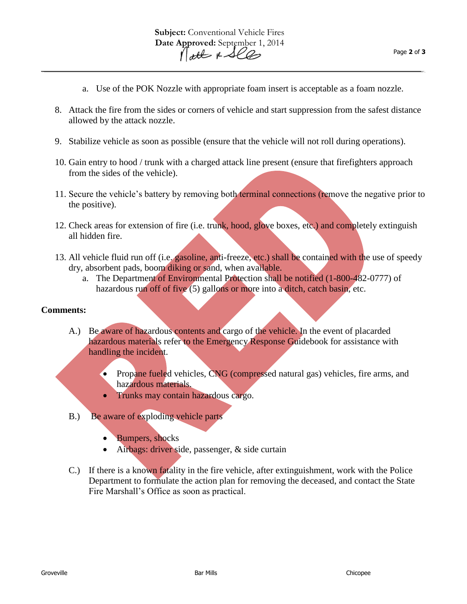- a. Use of the POK Nozzle with appropriate foam insert is acceptable as a foam nozzle.
- 8. Attack the fire from the sides or corners of vehicle and start suppression from the safest distance allowed by the attack nozzle.
- 9. Stabilize vehicle as soon as possible (ensure that the vehicle will not roll during operations).
- 10. Gain entry to hood / trunk with a charged attack line present (ensure that firefighters approach from the sides of the vehicle).
- 11. Secure the vehicle's battery by removing both terminal connections (remove the negative prior to the positive).
- 12. Check areas for extension of fire (i.e. trunk, hood, glove boxes, etc.) and completely extinguish all hidden fire.
- 13. All vehicle fluid run off (i.e. gasoline, anti-freeze, etc.) shall be contained with the use of speedy dry, absorbent pads, boom diking or sand, when available.
	- a. The Department of Environmental Protection shall be notified (1-800-482-0777) of hazardous run off of five (5) gallons or more into a ditch, catch basin, etc.

#### **Comments:**

- A.) Be aware of hazardous contents and cargo of the vehicle. In the event of placarded hazardous materials refer to the Emergency Response Guidebook for assistance with handling the incident.
	- Propane fueled vehicles, CNG (compressed natural gas) vehicles, fire arms, and hazardous materials.
	- Trunks may contain hazardous cargo.
- B.) Be aware of exploding vehicle parts
	- Bumpers, shocks
	- Airbags: driver side, passenger, & side curtain
- C.) If there is a known fatality in the fire vehicle, after extinguishment, work with the Police Department to formulate the action plan for removing the deceased, and contact the State Fire Marshall's Office as soon as practical.